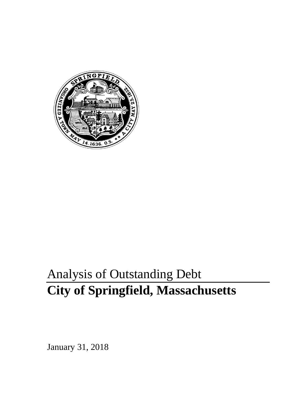

# Analysis of Outstanding Debt **City of Springfield, Massachusetts**

January 31, 2018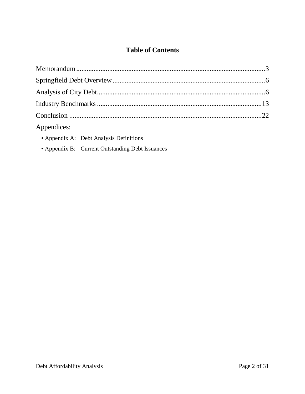## **Table of Contents**

| Appendices: |  |
|-------------|--|

- Appendix A: Debt Analysis Definitions
- Appendix B: Current Outstanding Debt Issuances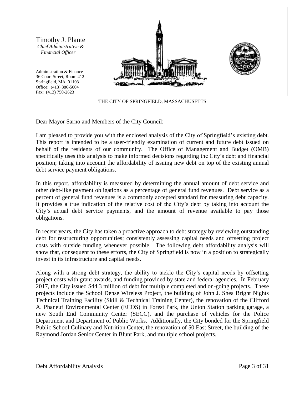Timothy J. Plante *Chief Administrative & Financial Officer*

Administration & Finance 36 Court Street, Room 412 Springfield, MA 01103 Office: (413) 886-5004 Fax: (413) 750-2623





THE CITY OF SPRINGFIELD, MASSACHUSETTS

Dear Mayor Sarno and Members of the City Council:

I am pleased to provide you with the enclosed analysis of the City of Springfield's existing debt. This report is intended to be a user-friendly examination of current and future debt issued on behalf of the residents of our community. The Office of Management and Budget (OMB) specifically uses this analysis to make informed decisions regarding the City's debt and financial position; taking into account the affordability of issuing new debt on top of the existing annual debt service payment obligations.

In this report, affordability is measured by determining the annual amount of debt service and other debt-like payment obligations as a percentage of general fund revenues. Debt service as a percent of general fund revenues is a commonly accepted standard for measuring debt capacity. It provides a true indication of the relative cost of the City's debt by taking into account the City's actual debt service payments, and the amount of revenue available to pay those obligations.

In recent years, the City has taken a proactive approach to debt strategy by reviewing outstanding debt for restructuring opportunities; consistently assessing capital needs and offsetting project costs with outside funding whenever possible. The following debt affordability analysis will show that, consequent to these efforts, the City of Springfield is now in a position to strategically invest in its infrastructure and capital needs.

Along with a strong debt strategy, the ability to tackle the City's capital needs by offsetting project costs with grant awards, and funding provided by state and federal agencies. In February 2017, the City issued \$44.3 million of debt for multiple completed and on-going projects. These projects include the School Dense Wireless Project, the building of John J. Shea Bright Nights Technical Training Facility (Skill & Technical Training Center), the renovation of the Clifford A. Phaneuf Environmental Center (ECOS) in Forest Park, the Union Station parking garage, a new South End Community Center (SECC), and the purchase of vehicles for the Police Department and Department of Public Works. Additionally, the City bonded for the Springfield Public School Culinary and Nutrition Center, the renovation of 50 East Street, the building of the Raymond Jordan Senior Center in Blunt Park, and multiple school projects.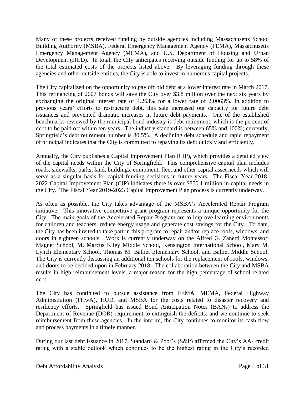Many of these projects received funding by outside agencies including Massachusetts School Building Authority (MSBA), Federal Emergency Management Agency (FEMA), Massachusetts Emergency Management Agency (MEMA), and U.S. Department of Housing and Urban Development (HUD). In total, the City anticipates receiving outside funding for up to 58% of the total estimated costs of the projects listed above. By leveraging funding through these agencies and other outside entities, the City is able to invest in numerous capital projects.

The City capitalized on the opportunity to pay off old debt at a lower interest rate in March 2017. This refinancing of 2007 bonds will save the City over \$3.8 million over the next six years by exchanging the original interest rate of 4.263% for a lower rate of 2.0063%. In addition to previous years' efforts to restructure debt, this sale increased our capacity for future debt issuances and prevented dramatic increases in future debt payments. One of the established benchmarks reviewed by the municipal bond industry is debt retirement, which is the percent of debt to be paid off within ten years. The industry standard is between 65% and 100%; currently, Springfield's debt retirement number is 80.5%. A declining debt schedule and rapid repayment of principal indicates that the City is committed to repaying its debt quickly and efficiently.

Annually, the City publishes a Capital Improvement Plan (CIP), which provides a detailed view of the capital needs within the City of Springfield. This comprehensive capital plan includes roads, sidewalks, parks, land, buildings, equipment, fleet and other capital asset needs which will serve as a singular basis for capital funding decisions in future years. The Fiscal Year 2018- 2022 Capital Improvement Plan (CIP) indicates there is over \$850.1 million in capital needs in the City. The Fiscal Year 2019-2023 Capital Improvement Plan process is currently underway.

As often as possible, the City takes advantage of the MSBA's Accelerated Repair Program initiative. This innovative competitive grant program represents a unique opportunity for the City. The main goals of the Accelerated Repair Program are to improve learning environments for children and teachers, reduce energy usage and generate cost savings for the City. To date, the City has been invited to take part in this program to repair and/or replace roofs, windows, and doors in eighteen schools. Work is currently underway on the Alfred G. Zanetti Montessori Magnet School, M. Marcus Kiley Middle School, Kensington International School, Mary M. Lynch Elementary School, Thomas M. Balliet Elementary School, and Balliet Middle School. The City is currently discussing an additional ten schools for the replacement of roofs, windows, and doors to be decided upon in February 2018. The collaboration between the City and MSBA results in high reimbursement levels, a major reason for the high percentage of school related debt.

The City has continued to pursue assistance from FEMA, MEMA, Federal Highway Administration (FHwA), HUD, and MSBA for the costs related to disaster recovery and resiliency efforts. Springfield has issued Bond Anticipation Notes (BANs) to address the Department of Revenue (DOR) requirement to extinguish the deficits; and we continue to seek reimbursement from these agencies. In the interim, the City continues to monitor its cash flow and process payments in a timely manner.

During our last debt issuance in 2017, Standard & Poor's (S&P) affirmed the City's AA- credit rating with a stable outlook which continues to be the highest rating in the City's recorded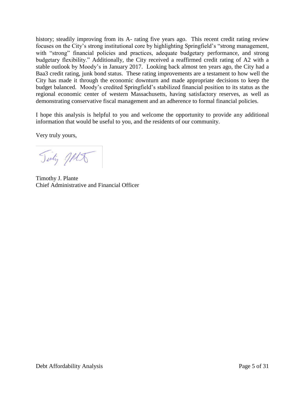history; steadily improving from its A- rating five years ago. This recent credit rating review focuses on the City's strong institutional core by highlighting Springfield's "strong management, with "strong" financial policies and practices, adequate budgetary performance, and strong budgetary flexibility." Additionally, the City received a reaffirmed credit rating of A2 with a stable outlook by Moody's in January 2017. Looking back almost ten years ago, the City had a Baa3 credit rating, junk bond status. These rating improvements are a testament to how well the City has made it through the economic downturn and made appropriate decisions to keep the budget balanced. Moody's credited Springfield's stabilized financial position to its status as the regional economic center of western Massachusetts, having satisfactory reserves, as well as demonstrating conservative fiscal management and an adherence to formal financial policies.

I hope this analysis is helpful to you and welcome the opportunity to provide any additional information that would be useful to you, and the residents of our community.

Very truly yours,

Tinty MA

Timothy J. Plante Chief Administrative and Financial Officer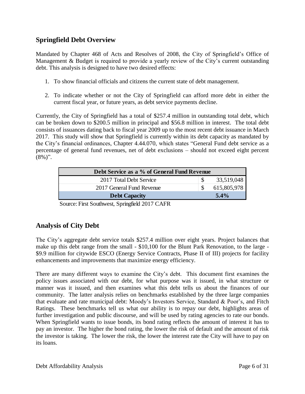## **Springfield Debt Overview**

Mandated by Chapter 468 of Acts and Resolves of 2008, the City of Springfield's Office of Management & Budget is required to provide a yearly review of the City's current outstanding debt. This analysis is designed to have two desired effects:

- 1. To show financial officials and citizens the current state of debt management.
- 2. To indicate whether or not the City of Springfield can afford more debt in either the current fiscal year, or future years, as debt service payments decline.

Currently, the City of Springfield has a total of \$257.4 million in outstanding total debt, which can be broken down to \$200.5 million in principal and \$56.8 million in interest. The total debt consists of issuances dating back to fiscal year 2009 up to the most recent debt issuance in March 2017. This study will show that Springfield is currently within its debt capacity as mandated by the City's financial ordinances, Chapter 4.44.070, which states "General Fund debt service as a percentage of general fund revenues, net of debt exclusions – should not exceed eight percent  $(8\%)$ ".

| Debt Service as a % of General Fund Revenue |             |
|---------------------------------------------|-------------|
| 2017 Total Debt Service                     | 33,519,048  |
| 2017 General Fund Revenue                   | 615,805,978 |
| <b>Debt Capacity</b>                        | $5.4\%$     |

Source: First Southwest, Springfield 2017 CAFR

## **Analysis of City Debt**

The City's aggregate debt service totals \$257.4 million over eight years. Project balances that make up this debt range from the small - \$10,100 for the Blunt Park Renovation, to the large - \$9.9 million for citywide ESCO (Energy Service Contracts, Phase II of III) projects for facility enhancements and improvements that maximize energy efficiency.

There are many different ways to examine the City's debt. This document first examines the policy issues associated with our debt, for what purpose was it issued, in what structure or manner was it issued, and then examines what this debt tells us about the finances of our community. The latter analysis relies on benchmarks established by the three large companies that evaluate and rate municipal debt: Moody's Investors Service, Standard & Poor's, and Fitch Ratings. These benchmarks tell us what our ability is to repay our debt, highlights areas of further investigation and public discourse, and will be used by rating agencies to rate our bonds. When Springfield wants to issue bonds, its bond rating reflects the amount of interest it has to pay an investor. The higher the bond rating, the lower the risk of default and the amount of risk the investor is taking. The lower the risk, the lower the interest rate the City will have to pay on its loans.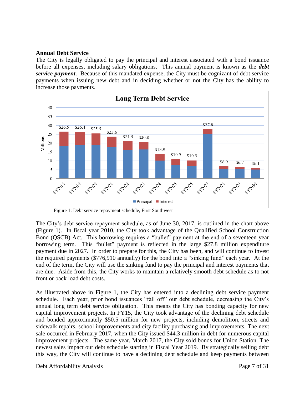#### **Annual Debt Service**

The City is legally obligated to pay the principal and interest associated with a bond issuance before all expenses, including salary obligations. This annual payment is known as the *debt service payment*. Because of this mandated expense, the City must be cognizant of debt service payments when issuing new debt and in deciding whether or not the City has the ability to increase those payments.



## **Long Term Debt Service**

Figure 1: Debt service repayment schedule, First Southwest

The City's debt service repayment schedule, as of June 30, 2017, is outlined in the chart above (Figure 1). In fiscal year 2010, the City took advantage of the Qualified School Construction Bond (QSCB) Act. This borrowing requires a "bullet" payment at the end of a seventeen year borrowing term. This "bullet" payment is reflected in the large \$27.8 million expenditure payment due in 2027. In order to prepare for this, the City has been, and will continue to invest the required payments (\$776,910 annually) for the bond into a "sinking fund" each year. At the end of the term, the City will use the sinking fund to pay the principal and interest payments that are due. Aside from this, the City works to maintain a relatively smooth debt schedule as to not front or back load debt costs.

As illustrated above in Figure 1, the City has entered into a declining debt service payment schedule. Each year, prior bond issuances "fall off" our debt schedule, decreasing the City's annual long term debt service obligation. This means the City has bonding capacity for new capital improvement projects. In FY15, the City took advantage of the declining debt schedule and bonded approximately \$50.5 million for new projects, including demolition, streets and sidewalk repairs, school improvements and city facility purchasing and improvements. The next sale occurred in February 2017, when the City issued \$44.3 million in debt for numerous capital improvement projects. The same year, March 2017, the City sold bonds for Union Station. The newest sales impact our debt schedule starting in Fiscal Year 2019. By strategically selling debt this way, the City will continue to have a declining debt schedule and keep payments between

Debt Affordability Analysis Page 7 of 31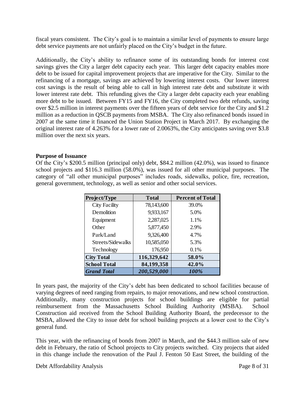fiscal years consistent. The City's goal is to maintain a similar level of payments to ensure large debt service payments are not unfairly placed on the City's budget in the future.

Additionally, the City's ability to refinance some of its outstanding bonds for interest cost savings gives the City a larger debt capacity each year. This larger debt capacity enables more debt to be issued for capital improvement projects that are imperative for the City. Similar to the refinancing of a mortgage, savings are achieved by lowering interest costs. Our lower interest cost savings is the result of being able to call in high interest rate debt and substitute it with lower interest rate debt. This refunding gives the City a larger debt capacity each year enabling more debt to be issued. Between FY15 and FY16, the City completed two debt refunds, saving over \$2.5 million in interest payments over the fifteen years of debt service for the City and \$1.2 million as a reduction in QSCB payments from MSBA. The City also refinanced bonds issued in 2007 at the same time it financed the Union Station Project in March 2017. By exchanging the original interest rate of 4.263% for a lower rate of 2.0063%, the City anticipates saving over \$3.8 million over the next six years.

#### **Purpose of Issuance**

Of the City's \$200.5 million (principal only) debt, \$84.2 million (42.0%), was issued to finance school projects and \$116.3 million (58.0%), was issued for all other municipal purposes. The category of "all other municipal purposes" includes roads, sidewalks, police, fire, recreation, general government, technology, as well as senior and other social services.

| Project/Type         | <b>Total</b> | <b>Percent of Total</b> |
|----------------------|--------------|-------------------------|
| <b>City Facility</b> | 78,143,600   | 39.0%                   |
| Demolition           | 9,933,167    | 5.0%                    |
| Equipment            | 2,287,025    | 1.1%                    |
| Other                | 5,877,450    | 2.9%                    |
| Park/Land            | 9,326,400    | 4.7%                    |
| Streets/Sidewalks    | 10,585,050   | 5.3%                    |
| Technology           | 176,950      | 0.1%                    |
| <b>City Total</b>    | 116,329,642  | 58.0%                   |
| <b>School Total</b>  | 84,199,358   | 42.0%                   |
| <b>Grand Total</b>   | 200,529,000  | 100%                    |

In years past, the majority of the City's debt has been dedicated to school facilities because of varying degrees of need ranging from repairs, to major renovations, and new school construction. Additionally, many construction projects for school buildings are eligible for partial reimbursement from the Massachusetts School Building Authority (MSBA). School Construction aid received from the School Building Authority Board, the predecessor to the MSBA, allowed the City to issue debt for school building projects at a lower cost to the City's general fund.

This year, with the refinancing of bonds from 2007 in March, and the \$44.3 million sale of new debt in February, the ratio of School projects to City projects switched. City projects that aided in this change include the renovation of the Paul J. Fenton 50 East Street, the building of the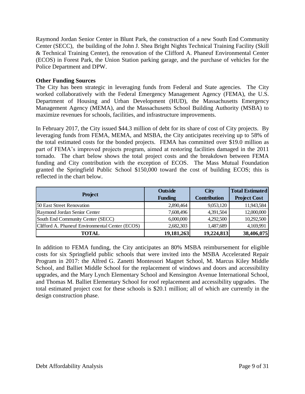Raymond Jordan Senior Center in Blunt Park, the construction of a new South End Community Center (SECC), the building of the John J. Shea Bright Nights Technical Training Facility (Skill & Technical Training Center), the renovation of the Clifford A. Phaneuf Environmental Center (ECOS) in Forest Park, the Union Station parking garage, and the purchase of vehicles for the Police Department and DPW.

#### **Other Funding Sources**

The City has been strategic in leveraging funds from Federal and State agencies. The City worked collaboratively with the Federal Emergency Management Agency (FEMA), the U.S. Department of Housing and Urban Development (HUD), the Massachusetts Emergency Management Agency (MEMA), and the Massachusetts School Building Authority (MSBA) to maximize revenues for schools, facilities, and infrastructure improvements.

In February 2017, the City issued \$44.3 million of debt for its share of cost of City projects. By leveraging funds from FEMA, MEMA, and MSBA, the City anticipates receiving up to 58% of the total estimated costs for the bonded projects. FEMA has committed over \$19.0 million as part of FEMA's improved projects program, aimed at restoring facilities damaged in the 2011 tornado. The chart below shows the total project costs and the breakdown between FEMA funding and City contribution with the exception of ECOS. The Mass Mutual Foundation granted the Springfield Public School \$150,000 toward the cost of building ECOS; this is reflected in the chart below.

|                                                 | <b>Outside</b> | <b>City</b>         | <b>Total Estimated</b> |
|-------------------------------------------------|----------------|---------------------|------------------------|
| <b>Project</b>                                  | <b>Funding</b> | <b>Contribution</b> | <b>Project Cost</b>    |
| 50 East Street Renovation                       | 2,890,464      | 9,053,120           | 11,943,584             |
| Raymond Jordan Senior Center                    | 7,608,496      | 4,391,504           | 12,000,000             |
| South End Community Center (SECC)               | 6,000,000      | 4,292,500           | 10,292,500             |
| Clifford A. Phaneuf Environmental Center (ECOS) | 2,682,303      | 1,487,689           | 4,169,991              |
| TOTAL                                           | 19, 181, 263   | 19,224,813          | 38,406,075             |

In addition to FEMA funding, the City anticipates an 80% MSBA reimbursement for eligible costs for six Springfield public schools that were invited into the MSBA Accelerated Repair Program in 2017: the Alfred G. Zanetti Montessori Magnet School, M. Marcus Kiley Middle School, and Balliet Middle School for the replacement of windows and doors and accessibility upgrades, and the Mary Lynch Elementary School and Kensington Avenue International School, and Thomas M. Balliet Elementary School for roof replacement and accessibility upgrades. The total estimated project cost for these schools is \$20.1 million; all of which are currently in the design construction phase.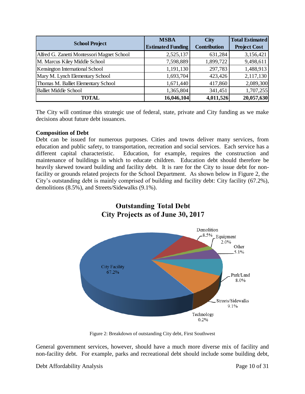| <b>School Project</b>                      | <b>MSBA</b><br><b>Estimated Funding</b> | <b>City</b><br><b>Contribution</b> | <b>Total Estimated</b><br><b>Project Cost</b> |
|--------------------------------------------|-----------------------------------------|------------------------------------|-----------------------------------------------|
| Alfred G. Zanetti Montessori Magnet School | 2,525,137                               | 631,284                            | 3,156,421                                     |
| M. Marcus Kiley Middle School              | 7,598,889                               | 1,899,722                          | 9,498,611                                     |
| <b>Kensington International School</b>     | 1,191,130                               | 297,783                            | 1,488,913                                     |
| Mary M. Lynch Elementary School            | 1,693,704                               | 423,426                            | 2,117,130                                     |
| Thomas M. Balliet Elementary School        | 1,671,440                               | 417,860                            | 2,089,300                                     |
| <b>Balliet Middle School</b>               | 1,365,804                               | 341,451                            | 1,707,255                                     |
| TOTAL                                      | 16,046,104                              | 4,011,526                          | 20,057,630                                    |

The City will continue this strategic use of federal, state, private and City funding as we make decisions about future debt issuances.

#### **Composition of Debt**

Debt can be issued for numerous purposes. Cities and towns deliver many services, from education and public safety, to transportation, recreation and social services. Each service has a different capital characteristic. Education, for example, requires the construction and maintenance of buildings in which to educate children. Education debt should therefore be heavily skewed toward building and facility debt. It is rare for the City to issue debt for nonfacility or grounds related projects for the School Department. As shown below in Figure 2, the City's outstanding debt is mainly comprised of building and facility debt: City facility (67.2%), demolitions (8.5%), and Streets/Sidewalks (9.1%).



Figure 2: Breakdown of outstanding City debt, First Southwest

General government services, however, should have a much more diverse mix of facility and non-facility debt. For example, parks and recreational debt should include some building debt,

Debt Affordability Analysis Page 10 of 31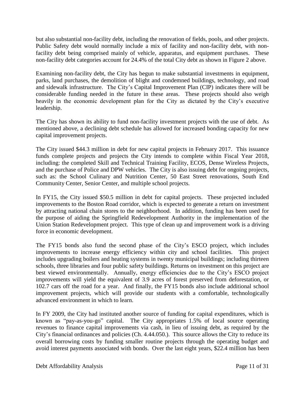but also substantial non-facility debt, including the renovation of fields, pools, and other projects. Public Safety debt would normally include a mix of facility and non-facility debt, with nonfacility debt being comprised mainly of vehicle, apparatus, and equipment purchases. These non-facility debt categories account for 24.4% of the total City debt as shown in Figure 2 above.

Examining non-facility debt, the City has begun to make substantial investments in equipment, parks, land purchases, the demolition of blight and condemned buildings, technology, and road and sidewalk infrastructure. The City's Capital Improvement Plan (CIP) indicates there will be considerable funding needed in the future in these areas. These projects should also weigh heavily in the economic development plan for the City as dictated by the City's executive leadership.

The City has shown its ability to fund non-facility investment projects with the use of debt. As mentioned above, a declining debt schedule has allowed for increased bonding capacity for new capital improvement projects.

The City issued \$44.3 million in debt for new capital projects in February 2017. This issuance funds complete projects and projects the City intends to complete within Fiscal Year 2018, including: the completed Skill and Technical Training Facility, ECOS, Dense Wireless Projects, and the purchase of Police and DPW vehicles. The City is also issuing debt for ongoing projects, such as: the School Culinary and Nutrition Center, 50 East Street renovations, South End Community Center, Senior Center, and multiple school projects.

In FY15, the City issued \$50.5 million in debt for capital projects. These projected included improvements to the Boston Road corridor, which is expected to generate a return on investment by attracting national chain stores to the neighborhood. In addition, funding has been used for the purpose of aiding the Springfield Redevelopment Authority in the implementation of the Union Station Redevelopment project. This type of clean up and improvement work is a driving force in economic development.

The FY15 bonds also fund the second phase of the City's ESCO project, which includes improvements to increase energy efficiency within city and school facilities. This project includes upgrading boilers and heating systems in twenty municipal buildings; including thirteen schools, three libraries and four public safety buildings. Returns on investment on this project are best viewed environmentally. Annually, energy efficiencies due to the City's ESCO project improvements will yield the equivalent of 3.9 acres of forest preserved from deforestation, or 102.7 cars off the road for a year. And finally, the FY15 bonds also include additional school improvement projects, which will provide our students with a comfortable, technologically advanced environment in which to learn.

In FY 2009, the City had instituted another source of funding for capital expenditures, which is known as "pay-as-you-go" capital. The City appropriates 1.5% of local source operating revenues to finance capital improvements via cash, in lieu of issuing debt, as required by the City's financial ordinances and policies (Ch. 4.44.050.). This source allows the City to reduce its overall borrowing costs by funding smaller routine projects through the operating budget and avoid interest payments associated with bonds. Over the last eight years, \$22.4 million has been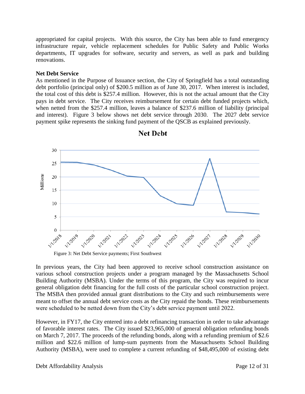appropriated for capital projects. With this source, the City has been able to fund emergency infrastructure repair, vehicle replacement schedules for Public Safety and Public Works departments, IT upgrades for software, security and servers, as well as park and building renovations.

#### **Net Debt Service**

As mentioned in the Purpose of Issuance section, the City of Springfield has a total outstanding debt portfolio (principal only) of \$200.5 million as of June 30, 2017. When interest is included, the total cost of this debt is \$257.4 million. However, this is not the actual amount that the City pays in debt service. The City receives reimbursement for certain debt funded projects which, when netted from the \$257.4 million, leaves a balance of \$237.6 million of liability (principal and interest). Figure 3 below shows net debt service through 2030. The 2027 debt service payment spike represents the sinking fund payment of the QSCB as explained previously.



**Net Debt** 

Figure 3: Net Debt Service payments; First Southwest

In previous years, the City had been approved to receive school construction assistance on various school construction projects under a program managed by the Massachusetts School Building Authority (MSBA). Under the terms of this program, the City was required to incur general obligation debt financing for the full costs of the particular school construction project. The MSBA then provided annual grant distributions to the City and such reimbursements were meant to offset the annual debt service costs as the City repaid the bonds. These reimbursements were scheduled to be netted down from the City's debt service payment until 2022.

However, in FY17, the City entered into a debt refinancing transaction in order to take advantage of favorable interest rates. The City issued \$23,965,000 of general obligation refunding bonds on March 7, 2017. The proceeds of the refunding bonds, along with a refunding premium of \$2.6 million and \$22.6 million of lump-sum payments from the Massachusetts School Building Authority (MSBA), were used to complete a current refunding of \$48,495,000 of existing debt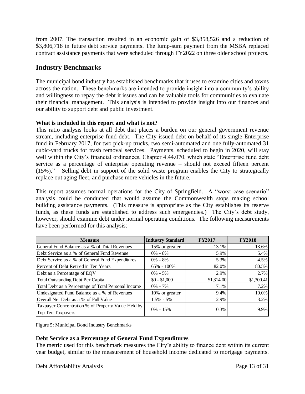from 2007. The transaction resulted in an economic gain of \$3,858,526 and a reduction of \$3,806,718 in future debt service payments. The lump-sum payment from the MSBA replaced contract assistance payments that were scheduled through FY2022 on three older school projects.

## **Industry Benchmarks**

The municipal bond industry has established benchmarks that it uses to examine cities and towns across the nation. These benchmarks are intended to provide insight into a community's ability and willingness to repay the debt it issues and can be valuable tools for communities to evaluate their financial management. This analysis is intended to provide insight into our finances and our ability to support debt and public investment.

### **What is included in this report and what is not?**

This ratio analysis looks at all debt that places a burden on our general government revenue stream, including enterprise fund debt. The City issued debt on behalf of its single Enterprise fund in February 2017, for two pick-up trucks, two semi-automated and one fully-automated 31 cubic-yard trucks for trash removal services. Payments, scheduled to begin in 2020, will stay well within the City's financial ordinances, Chapter 4.44.070, which state "Enterprise fund debt service as a percentage of enterprise operating revenue – should not exceed fifteen percent (15%)." Selling debt in support of the solid waste program enables the City to strategically replace out aging fleet, and purchase more vehicles in the future.

This report assumes normal operations for the City of Springfield. A "worst case scenario" analysis could be conducted that would assume the Commonwealth stops making school building assistance payments. (This measure is appropriate as the City establishes its reserve funds, as these funds are established to address such emergencies.) The City's debt study, however, should examine debt under normal operating conditions. The following measurements have been performed for this analysis:

| <b>Measure</b>                                                          | <b>Industry Standard</b> | <b>FY2017</b> | <b>FY2018</b> |
|-------------------------------------------------------------------------|--------------------------|---------------|---------------|
| General Fund Balance as a % of Total Revenues                           | 15% or greater           | 13.1%         | 13.6%         |
| Debt Service as a % of General Fund Revenue                             | $0\% - 8\%$              | 5.9%          | 5.4%          |
| Debt Service as a % of General Fund Expenditures                        | $0\% - 8\%$              | 5.3%          | 4.5%          |
| Percent of Debt Retired in Ten Years                                    | $65\% - 100\%$           | 82.0%         | 80.5%         |
| Debt as a Percentage of EQV                                             | $0\% - 5\%$              | 2.9%          | 2.7%          |
| Total Outstanding Debt Per Capita                                       | $$0 - $1,000$            | \$1,314.00    | \$1,300.41    |
| Total Debt as a Percentage of Total Personal Income                     | $0\% - 7\%$              | 7.1%          | 7.2%          |
| Undesignated Fund Balance as a % of Revenues                            | 10% or greater           | 9.4%          | 10.0%         |
| Overall Net Debt as a % of Full Value                                   | $1.5\% - 5\%$            | 2.9%          | 3.2%          |
| Taxpayer Concentration % of Property Value Held by<br>Top Ten Taxpayers | $0\% - 15\%$             | 10.3%         | 9.9%          |

Figure 5: Municipal Bond Industry Benchmarks

## **Debt Service as a Percentage of General Fund Expenditures**

The metric used for this benchmark measures the City's ability to finance debt within its current year budget, similar to the measurement of household income dedicated to mortgage payments.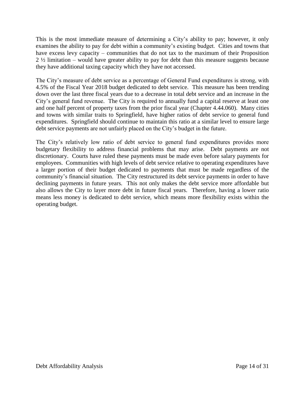This is the most immediate measure of determining a City's ability to pay; however, it only examines the ability to pay for debt within a community's existing budget. Cities and towns that have excess levy capacity – communities that do not tax to the maximum of their Proposition 2 ½ limitation – would have greater ability to pay for debt than this measure suggests because they have additional taxing capacity which they have not accessed.

The City's measure of debt service as a percentage of General Fund expenditures is strong, with 4.5% of the Fiscal Year 2018 budget dedicated to debt service. This measure has been trending down over the last three fiscal years due to a decrease in total debt service and an increase in the City's general fund revenue. The City is required to annually fund a capital reserve at least one and one half percent of property taxes from the prior fiscal year (Chapter 4.44.060). Many cities and towns with similar traits to Springfield, have higher ratios of debt service to general fund expenditures. Springfield should continue to maintain this ratio at a similar level to ensure large debt service payments are not unfairly placed on the City's budget in the future.

The City's relatively low ratio of debt service to general fund expenditures provides more budgetary flexibility to address financial problems that may arise. Debt payments are not discretionary. Courts have ruled these payments must be made even before salary payments for employees. Communities with high levels of debt service relative to operating expenditures have a larger portion of their budget dedicated to payments that must be made regardless of the community's financial situation. The City restructured its debt service payments in order to have declining payments in future years. This not only makes the debt service more affordable but also allows the City to layer more debt in future fiscal years. Therefore, having a lower ratio means less money is dedicated to debt service, which means more flexibility exists within the operating budget.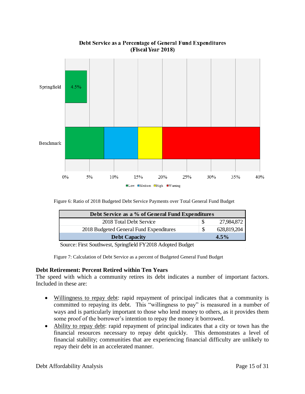

## Debt Service as a Percentage of General Fund Expenditures (Fiscal Year 2018)

Figure 6: Ratio of 2018 Budgeted Debt Service Payments over Total General Fund Budget

| Debt Service as a % of General Fund Expenditures                       |                   |
|------------------------------------------------------------------------|-------------------|
| 2018 Total Debt Service                                                | 27,984,872        |
| 2018 Budgeted General Fund Expenditures                                | \$<br>628,819,204 |
| <b>Debt Capacity</b>                                                   | $4.5\%$           |
| $\sim$ $\sim$ $\sim$ 11 $\sim$ 70010 $\pm$ 1 $\sim$ 1 $\sim$ 1<br>— м. |                   |

Source: First Southwest, Springfield FY2018 Adopted Budget

Figure 7: Calculation of Debt Service as a percent of Budgeted General Fund Budget

### **Debt Retirement: Percent Retired within Ten Years**

The speed with which a community retires its debt indicates a number of important factors. Included in these are:

- Willingness to repay debt: rapid repayment of principal indicates that a community is committed to repaying its debt. This "willingness to pay" is measured in a number of ways and is particularly important to those who lend money to others, as it provides them some proof of the borrower's intention to repay the money it borrowed.
- Ability to repay debt: rapid repayment of principal indicates that a city or town has the financial resources necessary to repay debt quickly. This demonstrates a level of financial stability; communities that are experiencing financial difficulty are unlikely to repay their debt in an accelerated manner.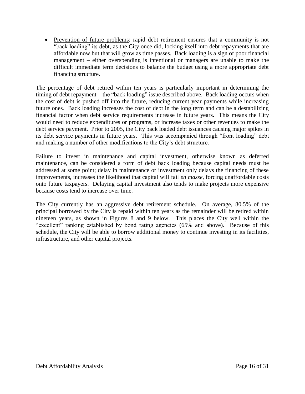• Prevention of future problems: rapid debt retirement ensures that a community is not "back loading" its debt, as the City once did, locking itself into debt repayments that are affordable now but that will grow as time passes. Back loading is a sign of poor financial management – either overspending is intentional or managers are unable to make the difficult immediate term decisions to balance the budget using a more appropriate debt financing structure.

The percentage of debt retired within ten years is particularly important in determining the timing of debt repayment – the "back loading" issue described above. Back loading occurs when the cost of debt is pushed off into the future, reducing current year payments while increasing future ones. Back loading increases the cost of debt in the long term and can be a destabilizing financial factor when debt service requirements increase in future years. This means the City would need to reduce expenditures or programs, or increase taxes or other revenues to make the debt service payment. Prior to 2005, the City back loaded debt issuances causing major spikes in its debt service payments in future years. This was accompanied through "front loading" debt and making a number of other modifications to the City's debt structure.

Failure to invest in maintenance and capital investment, otherwise known as deferred maintenance, can be considered a form of debt back loading because capital needs must be addressed at some point; delay in maintenance or investment only delays the financing of these improvements, increases the likelihood that capital will fail *en masse*, forcing unaffordable costs onto future taxpayers. Delaying capital investment also tends to make projects more expensive because costs tend to increase over time.

The City currently has an aggressive debt retirement schedule. On average, 80.5% of the principal borrowed by the City is repaid within ten years as the remainder will be retired within nineteen years, as shown in Figures 8 and 9 below. This places the City well within the "excellent" ranking established by bond rating agencies (65% and above). Because of this schedule, the City will be able to borrow additional money to continue investing in its facilities, infrastructure, and other capital projects.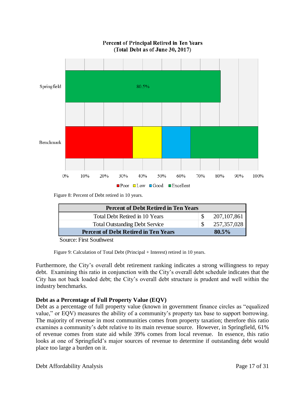

Percent of Principal Retired in Ten Years (Total Debt as of June 30, 2017)

Figure 8: Percent of Debt retired in 10 years.

| <b>Percent of Debt Retired in Ten Years</b> |               |
|---------------------------------------------|---------------|
| Total Debt Retired in 10 Years              | 207, 107, 861 |
| <b>Total Outstanding Debt Service</b>       | 257, 357, 028 |
| <b>Percent of Debt Retired in Ten Years</b> | 80.5%         |
| $\sim$                                      |               |

Source: First Southwest

Figure 9: Calculation of Total Debt (Principal + Interest) retired in 10 years.

Furthermore, the City's overall debt retirement ranking indicates a strong willingness to repay debt. Examining this ratio in conjunction with the City's overall debt schedule indicates that the City has not back loaded debt; the City's overall debt structure is prudent and well within the industry benchmarks.

#### **Debt as a Percentage of Full Property Value (EQV)**

Debt as a percentage of full property value (known in government finance circles as "equalized value," or EQV) measures the ability of a community's property tax base to support borrowing. The majority of revenue in most communities comes from property taxation; therefore this ratio examines a community's debt relative to its main revenue source. However, in Springfield, 61% of revenue comes from state aid while 39% comes from local revenue. In essence, this ratio looks at one of Springfield's major sources of revenue to determine if outstanding debt would place too large a burden on it.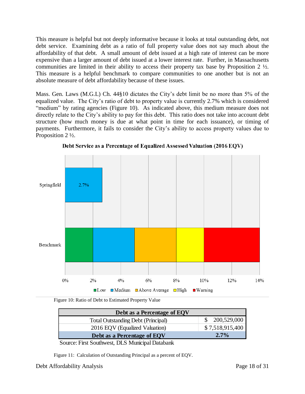This measure is helpful but not deeply informative because it looks at total outstanding debt, not debt service. Examining debt as a ratio of full property value does not say much about the affordability of that debt. A small amount of debt issued at a high rate of interest can be more expensive than a larger amount of debt issued at a lower interest rate. Further, in Massachusetts communities are limited in their ability to access their property tax base by Proposition 2 ½. This measure is a helpful benchmark to compare communities to one another but is not an absolute measure of debt affordability because of these issues.

Mass. Gen. Laws (M.G.L) Ch. 44§10 dictates the City's debt limit be no more than 5% of the equalized value. The City's ratio of debt to property value is currently 2.7% which is considered "medium" by rating agencies (Figure 10). As indicated above, this medium measure does not directly relate to the City's ability to pay for this debt. This ratio does not take into account debt structure (how much money is due at what point in time for each issuance), or timing of payments. Furthermore, it fails to consider the City's ability to access property values due to Proposition 2 ½.



Debt Service as a Percentage of Equalized Assessed Valuation (2016 EQV)

Figure 10: Ratio of Debt to Estimated Property Value

| Debt as a Percentage of EQV               |                 |
|-------------------------------------------|-----------------|
| <b>Total Outstanding Debt (Principal)</b> | \$200,529,000   |
| 2016 EQV (Equalized Valuation)            | \$7,518,915,400 |
| Debt as a Percentage of EQV               | $2.7\%$         |

Source: First Southwest, DLS Municipal Databank

Figure 11: Calculation of Outstanding Principal as a percent of EQV.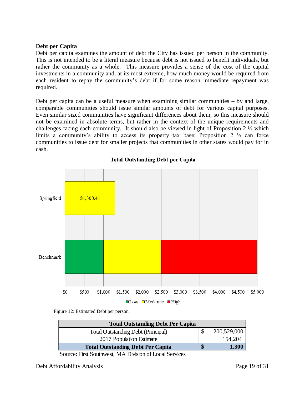#### **Debt per Capita**

Debt per capita examines the amount of debt the City has issued per person in the community. This is not intended to be a literal measure because debt is not issued to benefit individuals, but rather the community as a whole. This measure provides a sense of the cost of the capital investments in a community and, at its most extreme, how much money would be required from each resident to repay the community's debt if for some reason immediate repayment was required.

Debt per capita can be a useful measure when examining similar communities – by and large, comparable communities should issue similar amounts of debt for various capital purposes. Even similar sized communities have significant differences about them, so this measure should not be examined in absolute terms, but rather in the context of the unique requirements and challenges facing each community. It should also be viewed in light of Proposition 2 ½ which limits a community's ability to access its property tax base; Proposition  $2 \frac{1}{2}$  can force communities to issue debt for smaller projects that communities in other states would pay for in cash.



**Total Outstanding Debt per Capita** 

Figure 12: Estimated Debt per person.

| <b>Total Outstanding Debt Per Capita</b>  |             |
|-------------------------------------------|-------------|
| <b>Total Outstanding Debt (Principal)</b> | 200,529,000 |
| 2017 Population Estimate                  | 154,204     |
| <b>Total Outstanding Debt Per Capita</b>  | 1,300       |
|                                           |             |

Source: First Southwest, MA Division of Local Services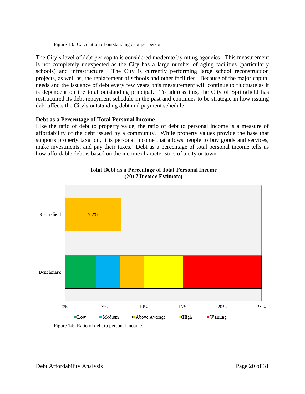#### Figure 13: Calculation of outstanding debt per person

The City's level of debt per capita is considered moderate by rating agencies. This measurement is not completely unexpected as the City has a large number of aging facilities (particularly schools) and infrastructure. The City is currently performing large school reconstruction projects, as well as, the replacement of schools and other facilities. Because of the major capital needs and the issuance of debt every few years, this measurement will continue to fluctuate as it is dependent on the total outstanding principal. To address this, the City of Springfield has restructured its debt repayment schedule in the past and continues to be strategic in how issuing debt affects the City's outstanding debt and payment schedule.

#### **Debt as a Percentage of Total Personal Income**

Like the ratio of debt to property value, the ratio of debt to personal income is a measure of affordability of the debt issued by a community. While property values provide the base that supports property taxation, it is personal income that allows people to buy goods and services, make investments, and pay their taxes. Debt as a percentage of total personal income tells us how affordable debt is based on the income characteristics of a city or town.



**Total Debt as a Percentage of Total Personal Income** (2017 Income Estimate)

Figure 14: Ratio of debt to personal income.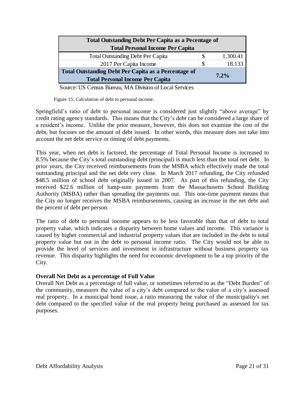| <b>Total Outstanding Debt Per Capita as a Pecentage of</b>                                             |   |          |
|--------------------------------------------------------------------------------------------------------|---|----------|
| <b>Total Personal Income Per Capita</b>                                                                |   |          |
| <b>Total Outstanding Debt Per Capita</b>                                                               | S | 1,300.41 |
| 2017 Per Capita Income                                                                                 | S | 18,133   |
| <b>Total Outstanding Debt Per Capita as a Percentage of</b><br><b>Total Personal Income Per Capita</b> |   | $7.2\%$  |

Source: US Census Bureau, MA Division of Local Services

Figure 15: Calculation of debt to personal income.

Springfield's ratio of debt to personal income is considered just slightly "above average" by credit rating agency standards. This means that the City's debt can be considered a large share of a resident's income. Unlike the prior measure, however, this does not examine the cost of the debt, but focuses on the amount of debt issued. In other words, this measure does not take into account the net debt service or timing of debt payments.

This year, when net debt is factored, the percentage of Total Personal Income is increased to 8.5% because the City's total outstanding debt (principal) is much less than the total net debt. In prior years, the City received reimbursements from the MSBA which effectively made the total outstanding principal and the net debt very close. In March 2017 refunding, the City refunded \$48.5 million of school debt originally issued in 2007. As part of this refunding, the City received \$22.6 million of lump-sum payments from the Massachusetts School Building Authority (MSBA) rather than spreading the payments out. This one-time payment means that the City no longer receives the MSBA reimbursements, causing an increase in the net debt and the percent of debt per person.

The ratio of debt to personal income appears to be less favorable than that of debt to total property value, which indicates a disparity between home values and income. This variance is caused by higher commercial and industrial property values that are included in the debt to total property value but not in the debt to personal income ratio. The City would not be able to provide the level of services and investment in infrastructure without business property tax revenue. This disparity highlights the need for economic development to be a top priority of the City.

### **Overall Net Debt as a percentage of Full Value**

Overall Net Debt as a percentage of full value, or sometimes referred to as the "Debt Burden" of the community, measures the value of a city's debt compared to the value of a city's assessed real property. In a municipal bond issue, a ratio measuring the value of the municipality's net debt compared to the specified value of the real property being purchased as assessed for tax purposes.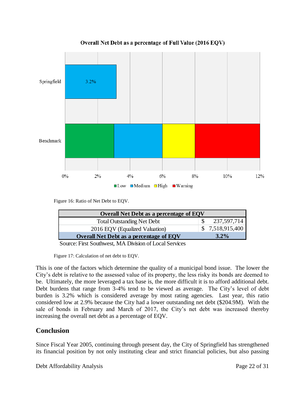

Overall Net Debt as a percentage of Full Value (2016 EQV)

Figure 16: Ratio of Net Debt to EQV.

| <b>Overall Net Debt as a percentage of EQV</b>       |                 |
|------------------------------------------------------|-----------------|
| <b>Total Outstanding Net Debt</b>                    | 237,597,714     |
| 2016 EQV (Equalized Valuation)                       | \$7,518,915,400 |
| <b>Overall Net Debt as a percentage of EQV</b>       | $3.2\%$         |
| Correct First Continued MA Division of Local Courses |                 |

Source: First Southwest, MA Division of Local Services

Figure 17: Calculation of net debt to EQV.

This is one of the factors which determine the quality of a municipal bond issue. The lower the City's debt is relative to the assessed value of its property, the less risky its bonds are deemed to be. Ultimately, the more leveraged a tax base is, the more difficult it is to afford additional debt. Debt burdens that range from 3-4% tend to be viewed as average. The City's level of debt burden is 3.2% which is considered average by most rating agencies. Last year, this ratio considered low at 2.9% because the City had a lower outstanding net debt (\$204.9M). With the sale of bonds in February and March of 2017, the City's net debt was increased thereby increasing the overall net debt as a percentage of EQV.

## **Conclusion**

Since Fiscal Year 2005, continuing through present day, the City of Springfield has strengthened its financial position by not only instituting clear and strict financial policies, but also passing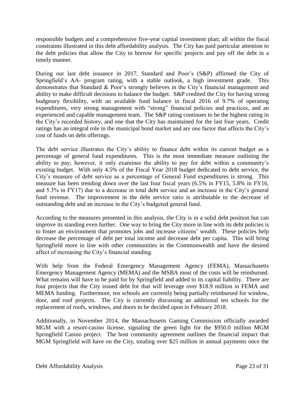responsible budgets and a comprehensive five-year capital investment plan; all within the fiscal constraints illustrated in this debt affordability analysis. The City has paid particular attention to the debt policies that allow the City to borrow for specific projects and pay off the debt in a timely manner.

During our last debt issuance in 2017, Standard and Poor's (S&P) affirmed the City of Springfield's AA- program rating, with a stable outlook, a high investment grade. This demonstrates that Standard & Poor's strongly believes in the City's financial management and ability to make difficult decisions to balance the budget. S&P credited the City for having strong budgetary flexibility, with an available fund balance in fiscal 2016 of 9.7% of operating expenditures, very strong management with "strong" financial policies and practices, and an experienced and capable management team. The S&P rating continues to be the highest rating in the City's recorded history, and one that the City has maintained for the last four years. Credit ratings has an integral role in the municipal bond market and are one factor that affects the City's cost of funds on debt offerings.

The debt service illustrates the City's ability to finance debt within its current budget as a percentage of general fund expenditures. This is the most immediate measure outlining the ability to pay; however, it only examines the ability to pay for debt within a community's existing budget. With only 4.5% of the Fiscal Year 2018 budget dedicated to debt service, the City's measure of debt service as a percentage of General Fund expenditures is strong. This measure has been trending down over the last four fiscal years (6.5% in FY15, 5.8% in FY16, and 5.3% in FY17) due to a decrease in total debt service and an increase in the City's general fund revenue. The improvement in the debt service ratio is attributable to the decrease of outstanding debt and an increase in the City's budgeted general fund.

According to the measures presented in this analysis, the City is in a solid debt position but can improve its standing even further. One way to bring the City more in line with its debt policies is to foster an environment that promotes jobs and increase citizens' wealth. These policies help decrease the percentage of debt per total income and decrease debt per capita. This will bring Springfield more in line with other communities in the Commonwealth and have the desired affect of increasing the City's financial standing.

With help from the Federal Emergency Management Agency (FEMA), Massachusetts Emergency Management Agency (MEMA) and the MSBA most of the costs will be reimbursed. What remains will have to be paid for by Springfield and added to its capital liability. There are four projects that the City issued debt for that will leverage over \$18.9 million in FEMA and MEMA funding. Furthermore, ten schools are currently being partially reimbursed for window, door, and roof projects. The City is currently discussing an additional ten schools for the replacement of roofs, windows, and doors to be decided upon in February 2018.

Additionally, in November 2014, the Massachusetts Gaming Commission officially awarded MGM with a resort-casino license, signaling the green light for the \$950.0 million MGM Springfield Casino project. The host community agreement outlines the financial impact that MGM Springfield will have on the City, totaling over \$25 million in annual payments once the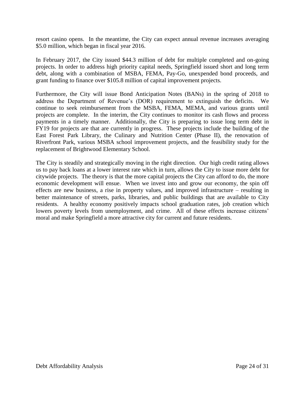resort casino opens. In the meantime, the City can expect annual revenue increases averaging \$5.0 million, which began in fiscal year 2016.

In February 2017, the City issued \$44.3 million of debt for multiple completed and on-going projects. In order to address high priority capital needs, Springfield issued short and long term debt, along with a combination of MSBA, FEMA, Pay-Go, unexpended bond proceeds, and grant funding to finance over \$105.8 million of capital improvement projects.

Furthermore, the City will issue Bond Anticipation Notes (BANs) in the spring of 2018 to address the Department of Revenue's (DOR) requirement to extinguish the deficits. We continue to seek reimbursement from the MSBA, FEMA, MEMA, and various grants until projects are complete. In the interim, the City continues to monitor its cash flows and process payments in a timely manner. Additionally, the City is preparing to issue long term debt in FY19 for projects are that are currently in progress. These projects include the building of the East Forest Park Library, the Culinary and Nutrition Center (Phase II), the renovation of Riverfront Park, various MSBA school improvement projects, and the feasibility study for the replacement of Brightwood Elementary School.

The City is steadily and strategically moving in the right direction. Our high credit rating allows us to pay back loans at a lower interest rate which in turn, allows the City to issue more debt for citywide projects. The theory is that the more capital projects the City can afford to do, the more economic development will ensue. When we invest into and grow our economy, the spin off effects are new business, a rise in property values, and improved infrastructure – resulting in better maintenance of streets, parks, libraries, and public buildings that are available to City residents. A healthy economy positively impacts school graduation rates, job creation which lowers poverty levels from unemployment, and crime. All of these effects increase citizens' moral and make Springfield a more attractive city for current and future residents.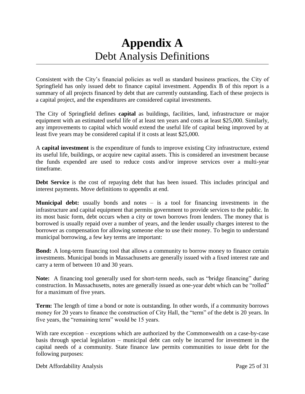## **Appendix A** Debt Analysis Definitions

Consistent with the City's financial policies as well as standard business practices, the City of Springfield has only issued debt to finance capital investment. Appendix B of this report is a summary of all projects financed by debt that are currently outstanding. Each of these projects is a capital project, and the expenditures are considered capital investments.

The City of Springfield defines **capital** as buildings, facilities, land, infrastructure or major equipment with an estimated useful life of at least ten years and costs at least \$25,000. Similarly, any improvements to capital which would extend the useful life of capital being improved by at least five years may be considered capital if it costs at least \$25,000.

A **capital investment** is the expenditure of funds to improve existing City infrastructure, extend its useful life, buildings, or acquire new capital assets. This is considered an investment because the funds expended are used to reduce costs and/or improve services over a multi-year timeframe.

**Debt Service** is the cost of repaying debt that has been issued. This includes principal and interest payments. Move definitions to appendix at end.

**Municipal debt:** usually bonds and notes – is a tool for financing investments in the infrastructure and capital equipment that permits government to provide services to the public. In its most basic form, debt occurs when a city or town borrows from lenders. The money that is borrowed is usually repaid over a number of years, and the lender usually charges interest to the borrower as compensation for allowing someone else to use their money. To begin to understand municipal borrowing, a few key terms are important:

**Bond:** A long-term financing tool that allows a community to borrow money to finance certain investments. Municipal bonds in Massachusetts are generally issued with a fixed interest rate and carry a term of between 10 and 30 years.

**Note:** A financing tool generally used for short-term needs, such as "bridge financing" during construction. In Massachusetts, notes are generally issued as one-year debt which can be "rolled" for a maximum of five years.

**Term:** The length of time a bond or note is outstanding. In other words, if a community borrows money for 20 years to finance the construction of City Hall, the "term" of the debt is 20 years. In five years, the "remaining term" would be 15 years.

With rare exception – exceptions which are authorized by the Commonwealth on a case-by-case basis through special legislation – municipal debt can only be incurred for investment in the capital needs of a community. State finance law permits communities to issue debt for the following purposes: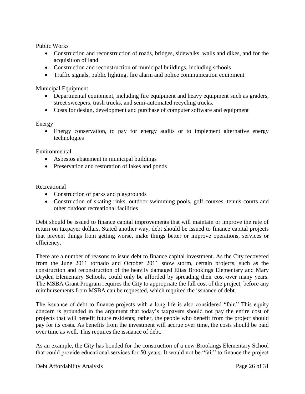Public Works

- Construction and reconstruction of roads, bridges, sidewalks, walls and dikes, and for the acquisition of land
- Construction and reconstruction of municipal buildings, including schools
- Traffic signals, public lighting, fire alarm and police communication equipment

Municipal Equipment

- Departmental equipment, including fire equipment and heavy equipment such as graders, street sweepers, trash trucks, and semi-automated recycling trucks.
- Costs for design, development and purchase of computer software and equipment

#### Energy

 Energy conservation, to pay for energy audits or to implement alternative energy technologies

Environmental

- Asbestos abatement in municipal buildings
- Preservation and restoration of lakes and ponds

Recreational

- Construction of parks and playgrounds
- Construction of skating rinks, outdoor swimming pools, golf courses, tennis courts and other outdoor recreational facilities

Debt should be issued to finance capital improvements that will maintain or improve the rate of return on taxpayer dollars. Stated another way, debt should be issued to finance capital projects that prevent things from getting worse, make things better or improve operations, services or efficiency.

There are a number of reasons to issue debt to finance capital investment. As the City recovered from the June 2011 tornado and October 2011 snow storm, certain projects, such as the construction and reconstruction of the heavily damaged Elias Brookings Elementary and Mary Dryden Elementary Schools, could only be afforded by spreading their cost over many years. The MSBA Grant Program requires the City to appropriate the full cost of the project, before any reimbursements from MSBA can be requested, which required the issuance of debt.

The issuance of debt to finance projects with a long life is also considered "fair." This equity concern is grounded in the argument that today's taxpayers should not pay the entire cost of projects that will benefit future residents; rather, the people who benefit from the project should pay for its costs. As benefits from the investment will accrue over time, the costs should be paid over time as well. This requires the issuance of debt.

As an example, the City has bonded for the construction of a new Brookings Elementary School that could provide educational services for 50 years. It would not be "fair" to finance the project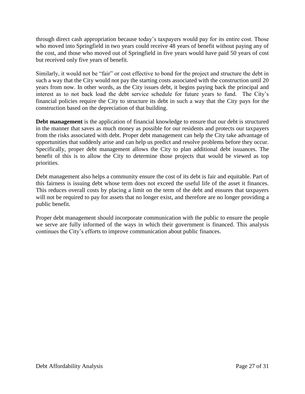through direct cash appropriation because today's taxpayers would pay for its entire cost. Those who moved into Springfield in two years could receive 48 years of benefit without paying any of the cost, and those who moved out of Springfield in five years would have paid 50 years of cost but received only five years of benefit.

Similarly, it would not be "fair" or cost effective to bond for the project and structure the debt in such a way that the City would not pay the starting costs associated with the construction until 20 years from now. In other words, as the City issues debt, it begins paying back the principal and interest as to not back load the debt service schedule for future years to fund. The City's financial policies require the City to structure its debt in such a way that the City pays for the construction based on the depreciation of that building.

**Debt management** is the application of financial knowledge to ensure that our debt is structured in the manner that saves as much money as possible for our residents and protects our taxpayers from the risks associated with debt. Proper debt management can help the City take advantage of opportunities that suddenly arise and can help us predict and resolve problems before they occur. Specifically, proper debt management allows the City to plan additional debt issuances. The benefit of this is to allow the City to determine those projects that would be viewed as top priorities.

Debt management also helps a community ensure the cost of its debt is fair and equitable. Part of this fairness is issuing debt whose term does not exceed the useful life of the asset it finances. This reduces overall costs by placing a limit on the term of the debt and ensures that taxpayers will not be required to pay for assets that no longer exist, and therefore are no longer providing a public benefit.

Proper debt management should incorporate communication with the public to ensure the people we serve are fully informed of the ways in which their government is financed. This analysis continues the City's efforts to improve communication about public finances.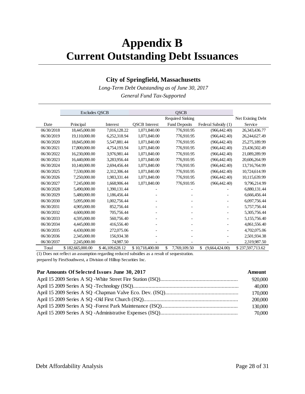## **Appendix B Current Outstanding Debt Issuances**

## **City of Springfield, Massachusetts**

*Long-Term Debt Outstanding as of June 30, 2017 General Fund Tax-Supported*

|            | <b>Excludes QSCB</b> |                 |                      | <b>QSCB</b>          |                      |                   |
|------------|----------------------|-----------------|----------------------|----------------------|----------------------|-------------------|
|            |                      |                 |                      | Required Sinking     |                      | Net Existing Debt |
| Date       | Principal            | Interest        | <b>OSCB</b> Interest | <b>Fund Deposits</b> | Federal Subsidy (1)  | Service           |
| 06/30/2018 | 18,445,000.00        | 7,016,128.22    | 1,071,840.00         | 776,910.95           | (966, 442.40)        | 26,343,436.77     |
| 06/30/2019 | 19,110,000.00        | 6,252,318.94    | 1,071,840.00         | 776,910.95           | (966, 442, 40)       | 26,244,627.49     |
| 06/30/2020 | 18,845,000.00        | 5,547,881.44    | 1,071,840.00         | 776,910.95           | (966, 442, 40)       | 25,275,189.99     |
| 06/30/2021 | 17,800,000.00        | 4,754,193.94    | 1,071,840.00         | 776,910.95           | (966, 442.40)        | 23,436,502.49     |
| 06/30/2022 | 16,230,000.00        | 3,976,981.44    | 1,071,840.00         | 776,910.95           | (966, 442.40)        | 21,089,289.99     |
| 06/30/2023 | 16,440,000.00        | 3,283,956.44    | 1,071,840.00         | 776,910.95           | (966, 442, 40)       | 20,606,264.99     |
| 06/30/2024 | 10,140,000.00        | 2,694,456.44    | 1,071,840.00         | 776,910.95           | (966, 442, 40)       | 13,716,764.99     |
| 06/30/2025 | 7,530,000.00         | 2,312,306.44    | 1,071,840.00         | 776,910.95           | (966, 442, 40)       | 10,724,614.99     |
| 06/30/2026 | 7,250,000.00         | 1,983,331.44    | 1,071,840.00         | 776,910.95           | (966, 442, 40)       | 10,115,639.99     |
| 06/30/2027 | 7,245,000.00         | 1.668.906.44    | 1,071,840.00         | 776,910.95           | (966, 442.40)        | 9,796,214.99      |
| 06/30/2028 | 5,490,000.00         | 1,390,131.44    |                      |                      |                      | 6,880,131.44      |
| 06/30/2029 | 5,480,000.00         | 1.186.456.44    |                      |                      |                      | 6,666,456.44      |
| 06/30/2030 | 5,095,000.00         | 1,002,756.44    |                      |                      |                      | 6,097,756.44      |
| 06/30/2031 | 4,905,000.00         | 852,756.44      |                      |                      |                      | 5,757,756.44      |
| 06/30/2032 | 4,600,000.00         | 705,756.44      |                      |                      |                      | 5,305,756.44      |
| 06/30/2033 | 4,595,000.00         | 560,756.40      |                      |                      |                      | 5,155,756.40      |
| 06/30/2034 | 4,445,000.00         | 416,556.40      |                      |                      |                      | 4,861,556.40      |
| 06/30/2035 | 4,430,000.00         | 272,075.06      |                      |                      |                      | 4,702,075.06      |
| 06/30/2036 | 2,345,000.00         | 156,934.38      |                      |                      |                      | 2,501,934.38      |
| 06/30/2037 | 2,245,000.00         | 74,987.50       |                      |                      |                      | 2,319,987.50      |
| Total      | \$182,665,000.00     | \$46,109,628.12 | \$10.718,400.00      | \$<br>7.769.109.50   | \$<br>(9.664.424.00) | \$237.597.713.62  |

(1) Does not reflect an assumption regarding reduced subsidies as a result of sequestration. prepared by FirstSouthwest, a Division of Hilltop Securities Inc.

#### **Par Amounts Of Selected Issues June 30, 2017 Amount**

| 920,000 |
|---------|
| 40,000  |
| 170,000 |
| 200,000 |
| 130,000 |
| 70,000  |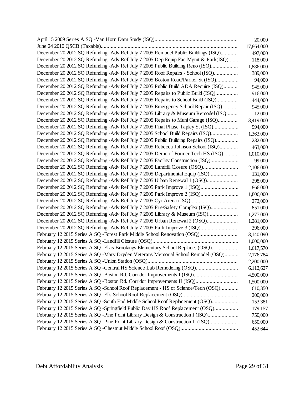|                                                                                       | 20,000     |
|---------------------------------------------------------------------------------------|------------|
|                                                                                       | 17,864,000 |
| December 20 2012 SQ Refunding -Adv Ref July 7 2005 Remodel Public Buildings (ISQ)     | 497,000    |
| December 20 2012 SQ Refunding - Adv Ref July 7 2005 Dep. Equip. Fac. Mgmt & Park(ISQ) | 118,000    |
| December 20 2012 SQ Refunding - Adv Ref July 7 2005 Public Building Reno (ISQ)        | 1,886,000  |
| December 20 2012 SQ Refunding - Adv Ref July 7 2005 Roof Repairs - School (ISQ)       | 389,000    |
| December 20 2012 SQ Refunding - Adv Ref July 7 2005 Boston Road/Parker St (ISQ)       | 94,000     |
| December 20 2012 SQ Refunding - Adv Ref July 7 2005 Public Build.ADA Require (ISQ)    | 945,000    |
| December 20 2012 SQ Refunding - Adv Ref July 7 2005 Repairs to Public Build (ISQ)     | 916,000    |
| December 20 2012 SQ Refunding - Adv Ref July 7 2005 Repairs to School Build (ISQ)     | 444,000    |
| December 20 2012 SQ Refunding - Adv Ref July 7 2005 Emergency School Repair (ISQ)     | 945,000    |
| December 20 2012 SQ Refunding -Adv Ref July 7 2005 Library & Museum Remodel (ISQ      | 12,000     |
| December 20 2012 SQ Refunding - Adv Ref July 7 2005 Repairs to Muni Garage (ISQ)      | 3,419,000  |
| December 20 2012 SQ Refunding - Adv Ref July 7 2005 Final Phase Tapley St (ISQ)       | 994,000    |
| December 20 2012 SQ Refunding - Adv Ref July 7 2005 School Build Repairs (ISQ)        | 1,363,000  |
| December 20 2012 SQ Refunding - Adv Ref July 7 2005 Public Building Repairs (ISQ)     | 232,000    |
| December 20 2012 SQ Refunding - Adv Ref July 7 2005 Rebecca Johnson School (ISQ)      | 463,000    |
| December 20 2012 SQ Refunding -Adv Ref July 7 2005 Demo of Former Tech HS (ISQ)       | 1,010,000  |
| December 20 2012 SQ Refunding -Adv Ref July 7 2005 Facility Construction (ISQ)        | 99,000     |
| December 20 2012 SQ Refunding -Adv Ref July 7 2005 Landfill Closure (OSQ)             | 2,106,000  |
| December 20 2012 SQ Refunding -Adv Ref July 7 2005 Departmental Equip (ISQ)           | 131,000    |
| December 20 2012 SQ Refunding - Adv Ref July 7 2005 Urban Renewal 1 (OSQ)             | 298,000    |
| December 20 2012 SQ Refunding - Adv Ref July 7 2005 Park Improve 1 (ISQ)              | 866,000    |
| December 20 2012 SQ Refunding - Adv Ref July 7 2005 Park Improve 2 (ISQ)              | 1,806,000  |
|                                                                                       | 272,000    |
| December 20 2012 SQ Refunding - Adv Ref July 7 2005 Fire/Safety Complex (ISQ)         | 851,000    |
| December 20 2012 SQ Refunding -Adv Ref July 7 2005 Library & Museum (ISQ)             | 1,277,000  |
| December 20 2012 SQ Refunding -Adv Ref July 7 2005 Urban Renewal 2 (OSQ)              | 1,281,000  |
| December 20 2012 SQ Refunding - Adv Ref July 7 2005 Park Improve 3 (ISQ)              | 396,000    |
| February 12 2015 Series A SQ -Forest Park Middle School Renovation (OSQ)              | 3,140,090  |
|                                                                                       | 1,000,000  |
| February 12 2015 Series A SQ - Elias Brookings Elementary School Replace. (OSQ)       | 1,617,570  |
| February 12 2015 Series A SQ -Mary Dryden Veterans Memorial School Remodel (OSQ)      | 2,176,784  |
|                                                                                       | 2,200,000  |
| February 12 2015 Series A SQ -Central HS Science Lab Remodeling (OSQ)                 | 6,112,627  |
| February 12 2015 Series A SQ -Boston Rd. Corridor Improvements I (ISQ)                | 4,500,000  |
| February 12 2015 Series A SQ -Boston Rd. Corridor Improvements II (ISQ)               | 1,500,000  |
| February 12 2015 Series A SQ -School Roof Replacement - HS of Science/Tech (OSQ)      | 610,350    |
|                                                                                       | 200,000    |
| February 12 2015 Series A SQ -South End Middle School Roof Replacement (OSQ)          | 153,381    |
| February 12 2015 Series A SQ -Springfield Public Day HS Roof Replacement (OSQ)        | 179,157    |
| February 12 2015 Series A SQ -Pine Point Library Design & Construction I (ISQ)        | 750,000    |
| February 12 2015 Series A SQ -Pine Point Library Design & Construction II (ISQ)       | 650,000    |
|                                                                                       | 452,644    |
|                                                                                       |            |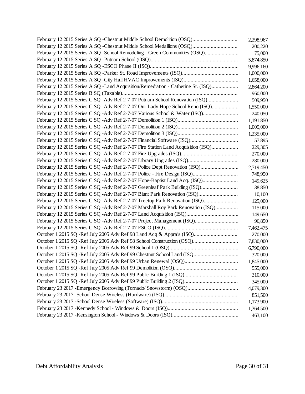|                                                                                  | 2,298,967 |
|----------------------------------------------------------------------------------|-----------|
|                                                                                  | 200,220   |
| February 12 2015 Series A SQ -School Remodeling - Green Communities (OSQ)        | 75,000    |
|                                                                                  | 5,874,850 |
|                                                                                  | 9,996,160 |
|                                                                                  | 1,000,000 |
|                                                                                  | 1,658,000 |
| February 12 2015 Series A SQ -Land Acquisition/Remediation - Catherine St. (ISQ) | 2,864,200 |
|                                                                                  | 960,000   |
| February 12 2015 Series C SQ -Adv Ref 2-7-07 Putnam School Renovation (ISQ)      | 509,950   |
| February 12 2015 Series C SQ - Adv Ref 2-7-07 Our Lady Hope School Reno (ISQ)    | 1,550,000 |
| February 12 2015 Series C SQ -Adv Ref 2-7-07 Various School & Water (ISQ)        | 240,050   |
|                                                                                  | 1,191,850 |
|                                                                                  | 1,005,000 |
|                                                                                  | 1,235,000 |
|                                                                                  | 57,895    |
| February 12 2015 Series C SQ -Adv Ref 2-7-07 Fire Station Land Acquisition (ISQ) | 229,305   |
|                                                                                  | 270,000   |
|                                                                                  | 280,000   |
| February 12 2015 Series C SQ -Adv Ref 2-7-07 Police Dept Renovation (ISQ)        | 2,719,450 |
|                                                                                  | 748,950   |
| February 12 2015 Series C SQ -Adv Ref 2-7-07 Hope-Baptist Land Acq. (ISQ)        | 149,625   |
| February 12 2015 Series C SQ -Adv Ref 2-7-07 Greenleaf Park Building (ISQ)       | 38,850    |
| February 12 2015 Series C SQ -Adv Ref 2-7-07 Blunt Park Renovation (ISQ)         | 10,100    |
| February 12 2015 Series C SQ - Adv Ref 2-7-07 Treetop Park Renovation (ISQ)      | 125,000   |
| February 12 2015 Series C SQ -Adv Ref 2-7-07 Marshall Roy Park Renovation (ISQ)  | 115,000   |
|                                                                                  | 149,650   |
| February 12 2015 Series C SQ -Adv Ref 2-7-07 Project Management (ISQ)            | 96,850    |
|                                                                                  | 7,462,475 |
| October 1 2015 SQ -Ref July 2005 Adv Ref 98 Land Acq & Apprais (ISQ)             | 270,000   |
| October 1 2015 SQ - Ref July 2005 Adv Ref 98 School Construction (OSQ)           | 7,830,000 |
|                                                                                  | 6,790,000 |
| October 1 2015 SQ - Ref July 2005 Adv Ref 99 Chestnut School Land (ISQ           | 320,000   |
|                                                                                  | 1,845,000 |
|                                                                                  | 555,000   |
|                                                                                  | 310,000   |
|                                                                                  | 345,000   |
| February 23 2017 - Emergency Borrowing (Tornado/ Snowstorm) (OSQ)                | 4,079,300 |
|                                                                                  | 851,500   |
|                                                                                  | 1,173,900 |
|                                                                                  | 1,364,500 |
|                                                                                  | 463,100   |